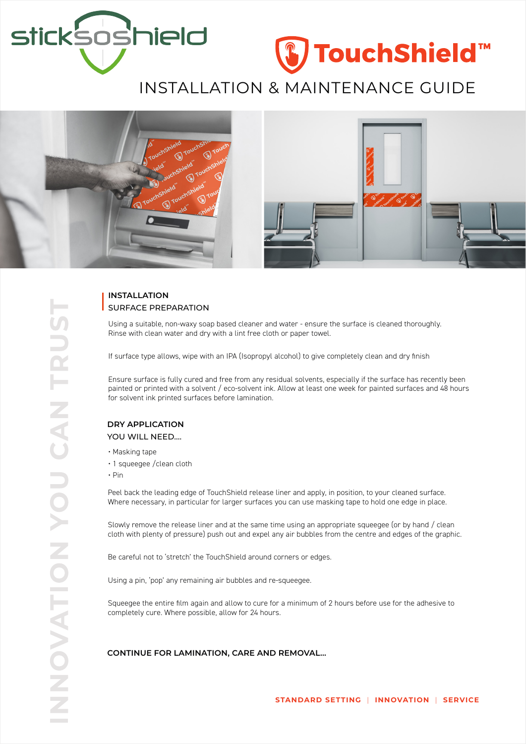

# ₿ TouchShield™

# INSTALLATION & MAINTENANCE GUIDE



# **INSTALLATION** SURFACE PREPARATION

Using a suitable, non-waxy soap based cleaner and water - ensure the surface is cleaned thoroughly. Rinse with clean water and dry with a lint free cloth or paper towel.

If surface type allows, wipe with an IPA (Isopropyl alcohol) to give completely clean and dry finish

Ensure surface is fully cured and free from any residual solvents, especially if the surface has recently been painted or printed with a solvent / eco-solvent ink. Allow at least one week for painted surfaces and 48 hours for solvent ink printed surfaces before lamination.

#### **DRY APPLICATION**

YOU WILL NEED....

- Masking tape
- 1 squeegee /clean cloth
- Pin

Peel back the leading edge of TouchShield release liner and apply, in position, to your cleaned surface. Where necessary, in particular for larger surfaces you can use masking tape to hold one edge in place.

Slowly remove the release liner and at the same time using an appropriate squeegee (or by hand / clean cloth with plenty of pressure) push out and expel any air bubbles from the centre and edges of the graphic.

Be careful not to 'stretch' the TouchShield around corners or edges.

Using a pin, 'pop' any remaining air bubbles and re-squeegee.

Squeegee the entire film again and allow to cure for a minimum of 2 hours before use for the adhesive to completely cure. Where possible, allow for 24 hours.

**CONTINUE FOR LAMINATION, CARE AND REMOVAL...**